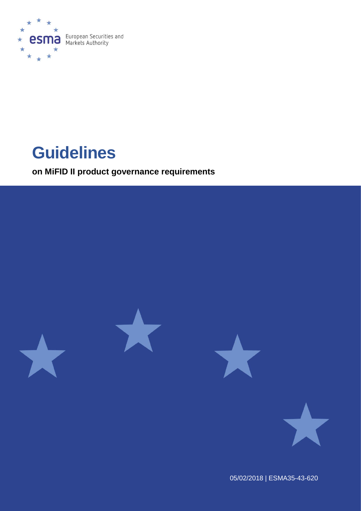

# **Guidelines**

**on MiFID II product governance requirements**



05/02/2018 | ESMA35-43-620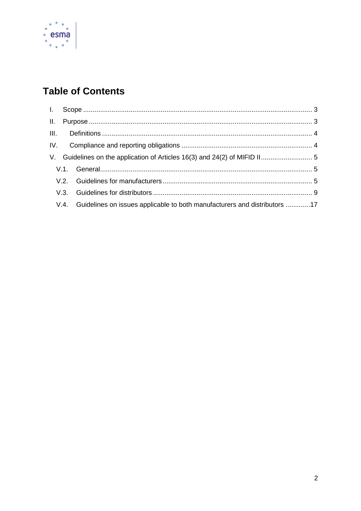

# **Table of Contents**

|  | V. Guidelines on the application of Articles 16(3) and 24(2) of MIFID II 5     |  |
|--|--------------------------------------------------------------------------------|--|
|  |                                                                                |  |
|  |                                                                                |  |
|  |                                                                                |  |
|  | V.4. Guidelines on issues applicable to both manufacturers and distributors 17 |  |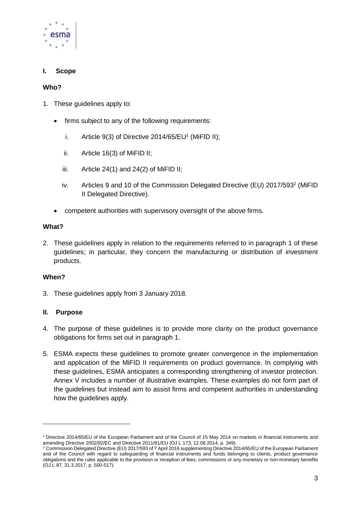

# <span id="page-2-0"></span>**I. Scope**

#### **Who?**

- 1. These guidelines apply to:
	- firms subject to any of the following requirements:
		- i. Article  $9(3)$  of Directive 2014/65/EU<sup>1</sup> (MiFID II);
		- ii. Article 16(3) of MiFID II;
		- iii. Article  $24(1)$  and  $24(2)$  of MiFID II;
		- iv. Articles 9 and 10 of the Commission Delegated Directive (EU) 2017/593<sup>2</sup> (MiFID II Delegated Directive).
	- competent authorities with supervisory oversight of the above firms.

#### **What?**

2. These guidelines apply in relation to the requirements referred to in paragraph 1 of these guidelines; in particular, they concern the manufacturing or distribution of investment products.

#### **When?**

-

3. These guidelines apply from 3 January 2018.

#### <span id="page-2-1"></span>**II. Purpose**

- 4. The purpose of these guidelines is to provide more clarity on the product governance obligations for firms set out in paragraph 1.
- 5. ESMA expects these guidelines to promote greater convergence in the implementation and application of the MiFID II requirements on product governance. In complying with these guidelines, ESMA anticipates a corresponding strengthening of investor protection. Annex V includes a number of illustrative examples. These examples do not form part of the guidelines but instead aim to assist firms and competent authorities in understanding how the guidelines apply.

<sup>1</sup> Directive 2014/65/EU of the European Parliament and of the Council of 15 May 2014 on markets in financial instruments and amending Directive 2002/92/EC and Directive 2011/61/EU (OJ L 173, 12.06.2014, p. 349).

<sup>&</sup>lt;sup>2</sup> Commission Delegated Directive (EU) 2017/593 of 7 April 2016 supplementing Directive 2014/65/EU of the European Parliament and of the Council with regard to safeguarding of financial instruments and funds belonging to clients, product governance obligations and the rules applicable to the provision or reception of fees, commissions or any monetary or non-monetary benefits (OJ L 87, 31.3.2017, p. 500-517).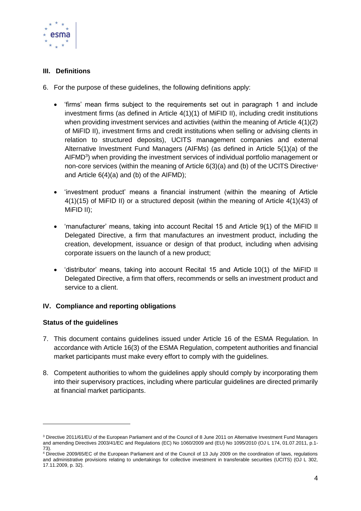

# <span id="page-3-0"></span>**III. Definitions**

- 6. For the purpose of these guidelines, the following definitions apply:
	- 'firms' mean firms subject to the requirements set out in paragraph 1 and include investment firms (as defined in Article 4(1)(1) of MiFID II), including credit institutions when providing investment services and activities (within the meaning of Article 4(1)(2) of MiFID II), investment firms and credit institutions when selling or advising clients in relation to structured deposits), UCITS management companies and external Alternative Investment Fund Managers (AIFMs) (as defined in Article 5(1)(a) of the AIFMD<sup>3</sup>) when providing the investment services of individual portfolio management or non-core services (within the meaning of Article 6(3)(a) and (b) of the UCITS Directive<sup>4</sup> and Article 6(4)(a) and (b) of the AIFMD);
	- 'investment product' means a financial instrument (within the meaning of Article 4(1)(15) of MiFID II) or a structured deposit (within the meaning of Article 4(1)(43) of MiFID II);
	- 'manufacturer' means, taking into account Recital 15 and Article 9(1) of the MiFID II Delegated Directive, a firm that manufactures an investment product, including the creation, development, issuance or design of that product, including when advising corporate issuers on the launch of a new product;
	- 'distributor' means, taking into account Recital 15 and Article 10(1) of the MiFID II Delegated Directive, a firm that offers, recommends or sells an investment product and service to a client.

# <span id="page-3-1"></span>**IV. Compliance and reporting obligations**

#### **Status of the guidelines**

-

- 7. This document contains guidelines issued under Article 16 of the ESMA Regulation. In accordance with Article 16(3) of the ESMA Regulation, competent authorities and financial market participants must make every effort to comply with the guidelines.
- 8. Competent authorities to whom the guidelines apply should comply by incorporating them into their supervisory practices, including where particular guidelines are directed primarily at financial market participants.

<sup>3</sup> Directive 2011/61/EU of the European Parliament and of the Council of 8 June 2011 on Alternative Investment Fund Managers and amending Directives 2003/41/EC and Regulations (EC) No 1060/2009 and (EU) No 1095/2010 (OJ L 174, 01.07.2011, p.1- 73).

<sup>4</sup> Directive 2009/65/EC of the European Parliament and of the Council of 13 July 2009 on the coordination of laws, regulations and administrative provisions relating to undertakings for collective investment in transferable securities (UCITS) (OJ L 302, 17.11.2009, p. 32).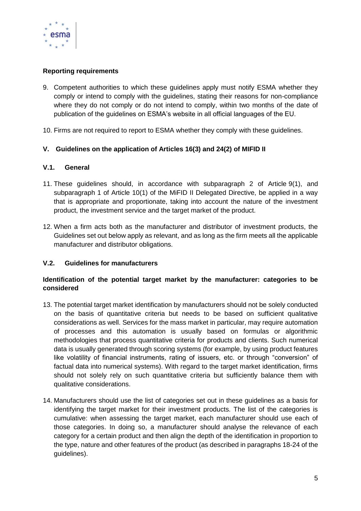

# **Reporting requirements**

- 9. Competent authorities to which these guidelines apply must notify ESMA whether they comply or intend to comply with the guidelines, stating their reasons for non-compliance where they do not comply or do not intend to comply, within two months of the date of publication of the guidelines on ESMA's website in all official languages of the EU.
- 10. Firms are not required to report to ESMA whether they comply with these guidelines.

# <span id="page-4-0"></span>**V. Guidelines on the application of Articles 16(3) and 24(2) of MIFID II**

#### <span id="page-4-1"></span>**V.1. General**

- 11. These guidelines should, in accordance with subparagraph 2 of Article 9(1), and subparagraph 1 of Article 10(1) of the MiFID II Delegated Directive, be applied in a way that is appropriate and proportionate, taking into account the nature of the investment product, the investment service and the target market of the product.
- 12. When a firm acts both as the manufacturer and distributor of investment products, the Guidelines set out below apply as relevant, and as long as the firm meets all the applicable manufacturer and distributor obligations.

# <span id="page-4-2"></span>**V.2. Guidelines for manufacturers**

# **Identification of the potential target market by the manufacturer: categories to be considered**

- 13. The potential target market identification by manufacturers should not be solely conducted on the basis of quantitative criteria but needs to be based on sufficient qualitative considerations as well. Services for the mass market in particular, may require automation of processes and this automation is usually based on formulas or algorithmic methodologies that process quantitative criteria for products and clients. Such numerical data is usually generated through scoring systems (for example, by using product features like volatility of financial instruments, rating of issuers, etc. or through "conversion" of factual data into numerical systems). With regard to the target market identification, firms should not solely rely on such quantitative criteria but sufficiently balance them with qualitative considerations.
- 14. Manufacturers should use the list of categories set out in these guidelines as a basis for identifying the target market for their investment products. The list of the categories is cumulative: when assessing the target market, each manufacturer should use each of those categories. In doing so, a manufacturer should analyse the relevance of each category for a certain product and then align the depth of the identification in proportion to the type, nature and other features of the product (as described in paragraphs 18-24 of the guidelines).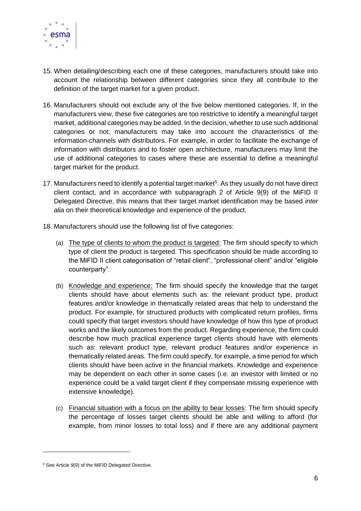

- 15. When detailing/describing each one of these categories, manufacturers should take into account the relationship between different categories since they all contribute to the definition of the target market for a given product.
- 16. Manufacturers should not exclude any of the five below mentioned categories. If, in the manufacturers view, these five categories are too restrictive to identify a meaningful target market, additional categories may be added. In the decision, whether to use such additional categories or not, manufacturers may take into account the characteristics of the information-channels with distributors. For example, in order to facilitate the exchange of information with distributors and to foster open architecture, manufacturers may limit the use of additional categories to cases where these are essential to define a meaningful target market for the product.
- 17. Manufacturers need to identify a potential target market<sup>5</sup>. As they usually do not have direct client contact, and in accordance with subparagraph 2 of Article 9(9) of the MiFID II Delegated Directive, this means that their target market identification may be based *inter alia* on their theoretical knowledge and experience of the product.
- 18. Manufacturers should use the following list of five categories:
	- (a) The type of clients to whom the product is targeted: The firm should specify to which type of client the product is targeted. This specification should be made according to the MiFID II client categorisation of "retail client", "professional client" and/or "eligible counterparty".
	- (b) Knowledge and experience: The firm should specify the knowledge that the target clients should have about elements such as: the relevant product type, product features and/or knowledge in thematically related areas that help to understand the product. For example, for structured products with complicated return profiles, firms could specify that target investors should have knowledge of how this type of product works and the likely outcomes from the product. Regarding experience, the firm could describe how much practical experience target clients should have with elements such as: relevant product type, relevant product features and/or experience in thematically related areas. The firm could specify, for example, a time period for which clients should have been active in the financial markets. Knowledge and experience may be dependent on each other in some cases (i.e. an investor with limited or no experience could be a valid target client if they compensate missing experience with extensive knowledge).
	- (c) Financial situation with a focus on the ability to bear losses: The firm should specify the percentage of losses target clients should be able and willing to afford (for example, from minor losses to total loss) and if there are any additional payment

<sup>5</sup> See Article 9(9) of the MiFID Delegated Directive.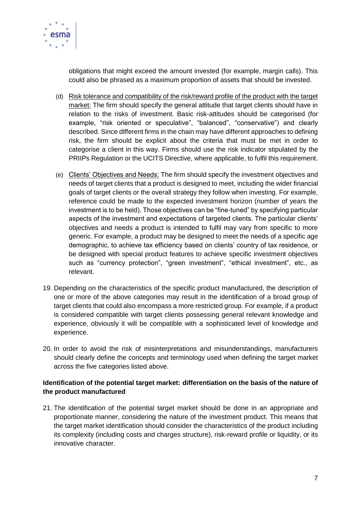

obligations that might exceed the amount invested (for example, margin calls). This could also be phrased as a maximum proportion of assets that should be invested.

- (d) Risk tolerance and compatibility of the risk/reward profile of the product with the target market: The firm should specify the general attitude that target clients should have in relation to the risks of investment. Basic risk-attitudes should be categorised (for example, "risk oriented or speculative", "balanced", "conservative") and clearly described. Since different firms in the chain may have different approaches to defining risk, the firm should be explicit about the criteria that must be met in order to categorise a client in this way. Firms should use the risk indicator stipulated by the PRIIPs Regulation or the UCITS Directive, where applicable, to fulfil this requirement.
- (e) Clients' Objectives and Needs: The firm should specify the investment objectives and needs of target clients that a product is designed to meet, including the wider financial goals of target clients or the overall strategy they follow when investing. For example, reference could be made to the expected investment horizon (number of years the investment is to be held). Those objectives can be "fine-tuned" by specifying particular aspects of the investment and expectations of targeted clients. The particular clients' objectives and needs a product is intended to fulfil may vary from specific to more generic. For example, a product may be designed to meet the needs of a specific age demographic, to achieve tax efficiency based on clients' country of tax residence, or be designed with special product features to achieve specific investment objectives such as "currency protection", "green investment", "ethical investment", etc., as relevant.
- 19. Depending on the characteristics of the specific product manufactured, the description of one or more of the above categories may result in the identification of a broad group of target clients that could also encompass a more restricted group. For example, if a product is considered compatible with target clients possessing general relevant knowledge and experience, obviously it will be compatible with a sophisticated level of knowledge and experience.
- 20. In order to avoid the risk of misinterpretations and misunderstandings, manufacturers should clearly define the concepts and terminology used when defining the target market across the five categories listed above.

# **Identification of the potential target market: differentiation on the basis of the nature of the product manufactured**

21. The identification of the potential target market should be done in an appropriate and proportionate manner, considering the nature of the investment product. This means that the target market identification should consider the characteristics of the product including its complexity (including costs and charges structure), risk-reward profile or liquidity, or its innovative character.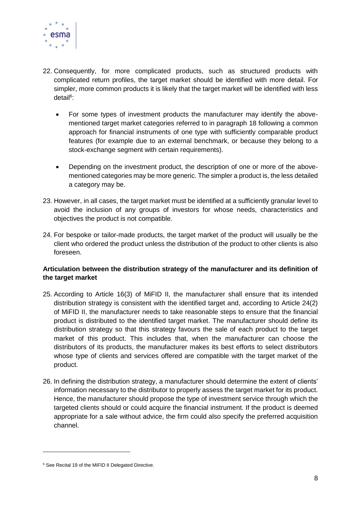

- 22. Consequently, for more complicated products, such as structured products with complicated return profiles, the target market should be identified with more detail. For simpler, more common products it is likely that the target market will be identified with less detail<sup>6</sup>:
	- For some types of investment products the manufacturer may identify the abovementioned target market categories referred to in paragraph 18 following a common approach for financial instruments of one type with sufficiently comparable product features (for example due to an external benchmark, or because they belong to a stock-exchange segment with certain requirements).
	- Depending on the investment product, the description of one or more of the abovementioned categories may be more generic. The simpler a product is, the less detailed a category may be.
- 23. However, in all cases, the target market must be identified at a sufficiently granular level to avoid the inclusion of any groups of investors for whose needs, characteristics and objectives the product is not compatible.
- 24. For bespoke or tailor-made products, the target market of the product will usually be the client who ordered the product unless the distribution of the product to other clients is also foreseen.

# **Articulation between the distribution strategy of the manufacturer and its definition of the target market**

- 25. According to Article 16(3) of MiFID II, the manufacturer shall ensure that its intended distribution strategy is consistent with the identified target and, according to Article 24(2) of MiFID II, the manufacturer needs to take reasonable steps to ensure that the financial product is distributed to the identified target market. The manufacturer should define its distribution strategy so that this strategy favours the sale of each product to the target market of this product. This includes that, when the manufacturer can choose the distributors of its products, the manufacturer makes its best efforts to select distributors whose type of clients and services offered are compatible with the target market of the product.
- 26. In defining the distribution strategy, a manufacturer should determine the extent of clients' information necessary to the distributor to properly assess the target market for its product. Hence, the manufacturer should propose the type of investment service through which the targeted clients should or could acquire the financial instrument. If the product is deemed appropriate for a sale without advice, the firm could also specify the preferred acquisition channel.

<sup>6</sup> See Recital 19 of the MiFID II Delegated Directive.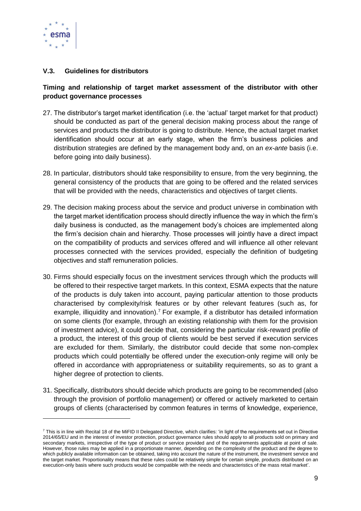

-

# <span id="page-8-0"></span>**V.3. Guidelines for distributors**

# **Timing and relationship of target market assessment of the distributor with other product governance processes**

- 27. The distributor's target market identification (i.e. the 'actual' target market for that product) should be conducted as part of the general decision making process about the range of services and products the distributor is going to distribute. Hence, the actual target market identification should occur at an early stage, when the firm's business policies and distribution strategies are defined by the management body and, on an *ex-ante* basis (i.e. before going into daily business).
- 28. In particular, distributors should take responsibility to ensure, from the very beginning, the general consistency of the products that are going to be offered and the related services that will be provided with the needs, characteristics and objectives of target clients.
- 29. The decision making process about the service and product universe in combination with the target market identification process should directly influence the way in which the firm's daily business is conducted, as the management body's choices are implemented along the firm's decision chain and hierarchy. Those processes will jointly have a direct impact on the compatibility of products and services offered and will influence all other relevant processes connected with the services provided, especially the definition of budgeting objectives and staff remuneration policies.
- 30. Firms should especially focus on the investment services through which the products will be offered to their respective target markets. In this context, ESMA expects that the nature of the products is duly taken into account, paying particular attention to those products characterised by complexity/risk features or by other relevant features (such as, for example, illiquidity and innovation).<sup>7</sup> For example, if a distributor has detailed information on some clients (for example, through an existing relationship with them for the provision of investment advice), it could decide that, considering the particular risk-reward profile of a product, the interest of this group of clients would be best served if execution services are excluded for them. Similarly, the distributor could decide that some non-complex products which could potentially be offered under the execution-only regime will only be offered in accordance with appropriateness or suitability requirements, so as to grant a higher degree of protection to clients.
- 31. Specifically, distributors should decide which products are going to be recommended (also through the provision of portfolio management) or offered or actively marketed to certain groups of clients (characterised by common features in terms of knowledge, experience,

<sup>&</sup>lt;sup>7</sup> This is in line with Recital 18 of the MiFID II Delegated Directive, which clarifies: 'in light of the requirements set out in Directive 2014/65/EU and in the interest of investor protection, product governance rules should apply to all products sold on primary and secondary markets, irrespective of the type of product or service provided and of the requirements applicable at point of sale. However, those rules may be applied in a proportionate manner, depending on the complexity of the product and the degree to which publicly available information can be obtained, taking into account the nature of the instrument, the investment service and the target market. Proportionality means that these rules could be relatively simple for certain simple, products distributed on an execution-only basis where such products would be compatible with the needs and characteristics of the mass retail market'.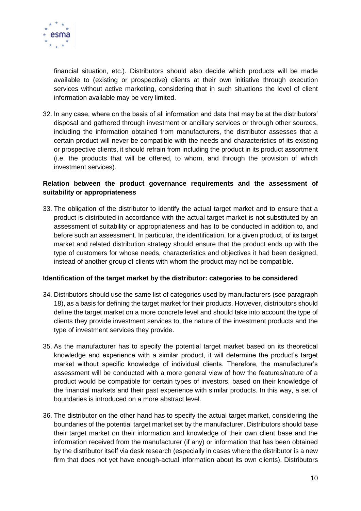

financial situation, etc.). Distributors should also decide which products will be made available to (existing or prospective) clients at their own initiative through execution services without active marketing, considering that in such situations the level of client information available may be very limited.

32. In any case, where on the basis of all information and data that may be at the distributors' disposal and gathered through investment or ancillary services or through other sources, including the information obtained from manufacturers, the distributor assesses that a certain product will never be compatible with the needs and characteristics of its existing or prospective clients, it should refrain from including the product in its product assortment (i.e. the products that will be offered, to whom, and through the provision of which investment services).

# **Relation between the product governance requirements and the assessment of suitability or appropriateness**

33. The obligation of the distributor to identify the actual target market and to ensure that a product is distributed in accordance with the actual target market is not substituted by an assessment of suitability or appropriateness and has to be conducted in addition to, and before such an assessment. In particular, the identification, for a given product, of its target market and related distribution strategy should ensure that the product ends up with the type of customers for whose needs, characteristics and objectives it had been designed, instead of another group of clients with whom the product may not be compatible.

#### **Identification of the target market by the distributor: categories to be considered**

- 34. Distributors should use the same list of categories used by manufacturers (see paragraph 18), as a basis for defining the target market for their products. However, distributors should define the target market on a more concrete level and should take into account the type of clients they provide investment services to, the nature of the investment products and the type of investment services they provide.
- 35. As the manufacturer has to specify the potential target market based on its theoretical knowledge and experience with a similar product, it will determine the product's target market without specific knowledge of individual clients. Therefore, the manufacturer's assessment will be conducted with a more general view of how the features/nature of a product would be compatible for certain types of investors, based on their knowledge of the financial markets and their past experience with similar products. In this way, a set of boundaries is introduced on a more abstract level.
- 36. The distributor on the other hand has to specify the actual target market, considering the boundaries of the potential target market set by the manufacturer. Distributors should base their target market on their information and knowledge of their own client base and the information received from the manufacturer (if any) or information that has been obtained by the distributor itself via desk research (especially in cases where the distributor is a new firm that does not yet have enough-actual information about its own clients). Distributors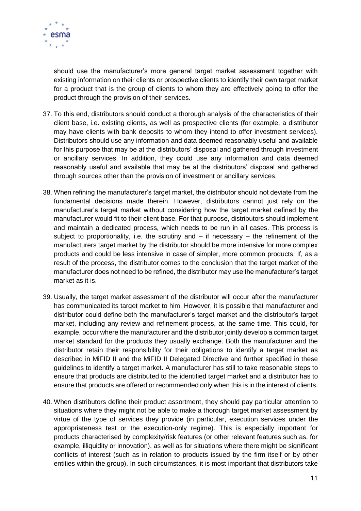

should use the manufacturer's more general target market assessment together with existing information on their clients or prospective clients to identify their own target market for a product that is the group of clients to whom they are effectively going to offer the product through the provision of their services.

- 37. To this end, distributors should conduct a thorough analysis of the characteristics of their client base, i.e. existing clients, as well as prospective clients (for example, a distributor may have clients with bank deposits to whom they intend to offer investment services). Distributors should use any information and data deemed reasonably useful and available for this purpose that may be at the distributors' disposal and gathered through investment or ancillary services. In addition, they could use any information and data deemed reasonably useful and available that may be at the distributors' disposal and gathered through sources other than the provision of investment or ancillary services.
- 38. When refining the manufacturer's target market, the distributor should not deviate from the fundamental decisions made therein. However, distributors cannot just rely on the manufacturer's target market without considering how the target market defined by the manufacturer would fit to their client base. For that purpose, distributors should implement and maintain a dedicated process, which needs to be run in all cases. This process is subject to proportionality, i.e. the scrutiny and  $-$  if necessary  $-$  the refinement of the manufacturers target market by the distributor should be more intensive for more complex products and could be less intensive in case of simpler, more common products. If, as a result of the process, the distributor comes to the conclusion that the target market of the manufacturer does not need to be refined, the distributor may use the manufacturer's target market as it is.
- 39. Usually, the target market assessment of the distributor will occur after the manufacturer has communicated its target market to him. However, it is possible that manufacturer and distributor could define both the manufacturer's target market and the distributor's target market, including any review and refinement process, at the same time. This could, for example, occur where the manufacturer and the distributor jointly develop a common target market standard for the products they usually exchange. Both the manufacturer and the distributor retain their responsibility for their obligations to identify a target market as described in MiFID II and the MiFID II Delegated Directive and further specified in these guidelines to identify a target market. A manufacturer has still to take reasonable steps to ensure that products are distributed to the identified target market and a distributor has to ensure that products are offered or recommended only when this is in the interest of clients.
- 40. When distributors define their product assortment, they should pay particular attention to situations where they might not be able to make a thorough target market assessment by virtue of the type of services they provide (in particular, execution services under the appropriateness test or the execution-only regime). This is especially important for products characterised by complexity/risk features (or other relevant features such as, for example, illiquidity or innovation), as well as for situations where there might be significant conflicts of interest (such as in relation to products issued by the firm itself or by other entities within the group). In such circumstances, it is most important that distributors take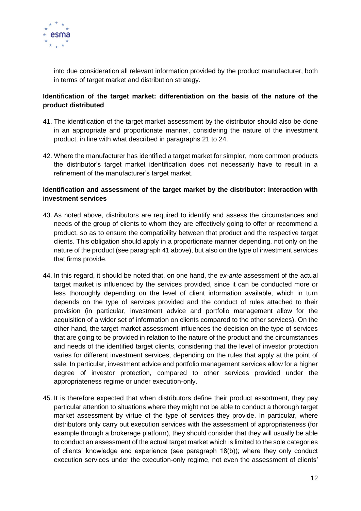

into due consideration all relevant information provided by the product manufacturer, both in terms of target market and distribution strategy.

# **Identification of the target market: differentiation on the basis of the nature of the product distributed**

- 41. The identification of the target market assessment by the distributor should also be done in an appropriate and proportionate manner, considering the nature of the investment product, in line with what described in paragraphs 21 to 24.
- 42. Where the manufacturer has identified a target market for simpler, more common products the distributor's target market identification does not necessarily have to result in a refinement of the manufacturer's target market.

# **Identification and assessment of the target market by the distributor: interaction with investment services**

- 43. As noted above, distributors are required to identify and assess the circumstances and needs of the group of clients to whom they are effectively going to offer or recommend a product, so as to ensure the compatibility between that product and the respective target clients. This obligation should apply in a proportionate manner depending, not only on the nature of the product (see paragraph 41 above), but also on the type of investment services that firms provide.
- 44. In this regard, it should be noted that, on one hand, the *ex-ante* assessment of the actual target market is influenced by the services provided, since it can be conducted more or less thoroughly depending on the level of client information available, which in turn depends on the type of services provided and the conduct of rules attached to their provision (in particular, investment advice and portfolio management allow for the acquisition of a wider set of information on clients compared to the other services). On the other hand, the target market assessment influences the decision on the type of services that are going to be provided in relation to the nature of the product and the circumstances and needs of the identified target clients, considering that the level of investor protection varies for different investment services, depending on the rules that apply at the point of sale. In particular, investment advice and portfolio management services allow for a higher degree of investor protection, compared to other services provided under the appropriateness regime or under execution-only.
- 45. It is therefore expected that when distributors define their product assortment, they pay particular attention to situations where they might not be able to conduct a thorough target market assessment by virtue of the type of services they provide. In particular, where distributors only carry out execution services with the assessment of appropriateness (for example through a brokerage platform), they should consider that they will usually be able to conduct an assessment of the actual target market which is limited to the sole categories of clients' knowledge and experience (see paragraph 18(b)); where they only conduct execution services under the execution-only regime, not even the assessment of clients'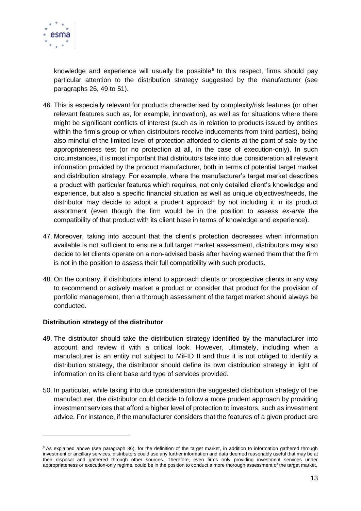

knowledge and experience will usually be possible<sup>8</sup> In this respect, firms should pay particular attention to the distribution strategy suggested by the manufacturer (see paragraphs 26, 49 to 51).

- 46. This is especially relevant for products characterised by complexity/risk features (or other relevant features such as, for example, innovation), as well as for situations where there might be significant conflicts of interest (such as in relation to products issued by entities within the firm's group or when distributors receive inducements from third parties), being also mindful of the limited level of protection afforded to clients at the point of sale by the appropriateness test (or no protection at all, in the case of execution-only). In such circumstances, it is most important that distributors take into due consideration all relevant information provided by the product manufacturer, both in terms of potential target market and distribution strategy. For example, where the manufacturer's target market describes a product with particular features which requires, not only detailed client's knowledge and experience, but also a specific financial situation as well as unique objectives/needs, the distributor may decide to adopt a prudent approach by not including it in its product assortment (even though the firm would be in the position to assess *ex-ante* the compatibility of that product with its client base in terms of knowledge and experience).
- 47. Moreover, taking into account that the client's protection decreases when information available is not sufficient to ensure a full target market assessment, distributors may also decide to let clients operate on a non-advised basis after having warned them that the firm is not in the position to assess their full compatibility with such products.
- 48. On the contrary, if distributors intend to approach clients or prospective clients in any way to recommend or actively market a product or consider that product for the provision of portfolio management, then a thorough assessment of the target market should always be conducted.

#### **Distribution strategy of the distributor**

 $\overline{a}$ 

- 49. The distributor should take the distribution strategy identified by the manufacturer into account and review it with a critical look. However, ultimately, including when a manufacturer is an entity not subject to MiFID II and thus it is not obliged to identify a distribution strategy, the distributor should define its own distribution strategy in light of information on its client base and type of services provided.
- 50. In particular, while taking into due consideration the suggested distribution strategy of the manufacturer, the distributor could decide to follow a more prudent approach by providing investment services that afford a higher level of protection to investors, such as investment advice. For instance, if the manufacturer considers that the features of a given product are

<sup>&</sup>lt;sup>8</sup> As explained above (see paragraph 36), for the definition of the target market, in addition to information gathered through investment or ancillary services, distributors could use any further information and data deemed reasonably useful that may be at their disposal and gathered through other sources. Therefore, even firms only providing investment services under appropriateness or execution-only regime, could be in the position to conduct a more thorough assessment of the target market.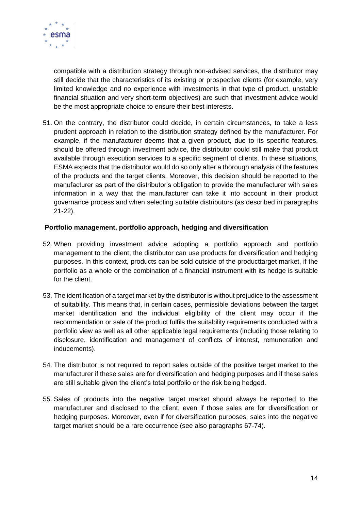

compatible with a distribution strategy through non-advised services, the distributor may still decide that the characteristics of its existing or prospective clients (for example, very limited knowledge and no experience with investments in that type of product, unstable financial situation and very short-term objectives) are such that investment advice would be the most appropriate choice to ensure their best interests.

51. On the contrary, the distributor could decide, in certain circumstances, to take a less prudent approach in relation to the distribution strategy defined by the manufacturer. For example, if the manufacturer deems that a given product, due to its specific features, should be offered through investment advice, the distributor could still make that product available through execution services to a specific segment of clients. In these situations, ESMA expects that the distributor would do so only after a thorough analysis of the features of the products and the target clients. Moreover, this decision should be reported to the manufacturer as part of the distributor's obligation to provide the manufacturer with sales information in a way that the manufacturer can take it into account in their product governance process and when selecting suitable distributors (as described in paragraphs 21-22).

#### **Portfolio management, portfolio approach, hedging and diversification**

- 52. When providing investment advice adopting a portfolio approach and portfolio management to the client, the distributor can use products for diversification and hedging purposes. In this context, products can be sold outside of the producttarget market, if the portfolio as a whole or the combination of a financial instrument with its hedge is suitable for the client.
- 53. The identification of a target market by the distributor is without prejudice to the assessment of suitability. This means that, in certain cases, permissible deviations between the target market identification and the individual eligibility of the client may occur if the recommendation or sale of the product fulfils the suitability requirements conducted with a portfolio view as well as all other applicable legal requirements (including those relating to disclosure, identification and management of conflicts of interest, remuneration and inducements).
- 54. The distributor is not required to report sales outside of the positive target market to the manufacturer if these sales are for diversification and hedging purposes and if these sales are still suitable given the client's total portfolio or the risk being hedged.
- 55. Sales of products into the negative target market should always be reported to the manufacturer and disclosed to the client, even if those sales are for diversification or hedging purposes. Moreover, even if for diversification purposes, sales into the negative target market should be a rare occurrence (see also paragraphs 67-74).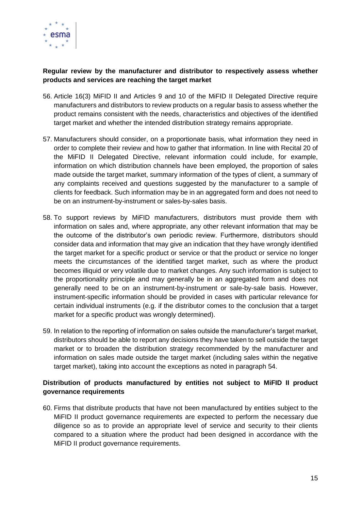

# **Regular review by the manufacturer and distributor to respectively assess whether products and services are reaching the target market**

- 56. Article 16(3) MiFID II and Articles 9 and 10 of the MiFID II Delegated Directive require manufacturers and distributors to review products on a regular basis to assess whether the product remains consistent with the needs, characteristics and objectives of the identified target market and whether the intended distribution strategy remains appropriate.
- 57. Manufacturers should consider, on a proportionate basis, what information they need in order to complete their review and how to gather that information. In line with Recital 20 of the MiFID II Delegated Directive, relevant information could include, for example, information on which distribution channels have been employed, the proportion of sales made outside the target market, summary information of the types of client, a summary of any complaints received and questions suggested by the manufacturer to a sample of clients for feedback. Such information may be in an aggregated form and does not need to be on an instrument-by-instrument or sales-by-sales basis.
- 58. To support reviews by MiFID manufacturers, distributors must provide them with information on sales and, where appropriate, any other relevant information that may be the outcome of the distributor's own periodic review. Furthermore, distributors should consider data and information that may give an indication that they have wrongly identified the target market for a specific product or service or that the product or service no longer meets the circumstances of the identified target market, such as where the product becomes illiquid or very volatile due to market changes. Any such information is subject to the proportionality principle and may generally be in an aggregated form and does not generally need to be on an instrument-by-instrument or sale-by-sale basis. However, instrument-specific information should be provided in cases with particular relevance for certain individual instruments (e.g. if the distributor comes to the conclusion that a target market for a specific product was wrongly determined).
- 59. In relation to the reporting of information on sales outside the manufacturer's target market, distributors should be able to report any decisions they have taken to sell outside the target market or to broaden the distribution strategy recommended by the manufacturer and information on sales made outside the target market (including sales within the negative target market), taking into account the exceptions as noted in paragraph 54.

# **Distribution of products manufactured by entities not subject to MiFID II product governance requirements**

60. Firms that distribute products that have not been manufactured by entities subject to the MiFID II product governance requirements are expected to perform the necessary due diligence so as to provide an appropriate level of service and security to their clients compared to a situation where the product had been designed in accordance with the MiFID II product governance requirements.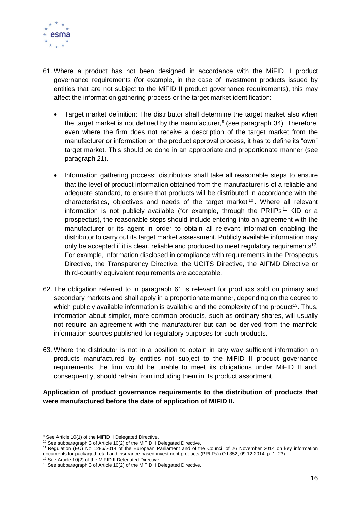

- 61. Where a product has not been designed in accordance with the MiFID II product governance requirements (for example, in the case of investment products issued by entities that are not subject to the MiFID II product governance requirements), this may affect the information gathering process or the target market identification:
	- Target market definition: The distributor shall determine the target market also when the target market is not defined by the manufacturer,<sup>9</sup> (see paragraph 34). Therefore, even where the firm does not receive a description of the target market from the manufacturer or information on the product approval process, it has to define its "own" target market. This should be done in an appropriate and proportionate manner (see paragraph 21).
	- Information gathering process: distributors shall take all reasonable steps to ensure that the level of product information obtained from the manufacturer is of a reliable and adequate standard, to ensure that products will be distributed in accordance with the characteristics, objectives and needs of the target market <sup>10</sup> . Where all relevant information is not publicly available (for example, through the PRIIPs<sup>11</sup> KID or a prospectus), the reasonable steps should include entering into an agreement with the manufacturer or its agent in order to obtain all relevant information enabling the distributor to carry out its target market assessment. Publicly available information may only be accepted if it is clear, reliable and produced to meet regulatory requirements<sup>12</sup>. For example, information disclosed in compliance with requirements in the Prospectus Directive, the Transparency Directive, the UCITS Directive, the AIFMD Directive or third-country equivalent requirements are acceptable.
- 62. The obligation referred to in paragraph 61 is relevant for products sold on primary and secondary markets and shall apply in a proportionate manner, depending on the degree to which publicly available information is available and the complexity of the product<sup>13</sup>. Thus, information about simpler, more common products, such as ordinary shares, will usually not require an agreement with the manufacturer but can be derived from the manifold information sources published for regulatory purposes for such products.
- 63. Where the distributor is not in a position to obtain in any way sufficient information on products manufactured by entities not subject to the MiFID II product governance requirements, the firm would be unable to meet its obligations under MiFID II and, consequently, should refrain from including them in its product assortment.

#### **Application of product governance requirements to the distribution of products that were manufactured before the date of application of MIFID II.**

-

<sup>&</sup>lt;sup>9</sup> See Article 10(1) of the MiFID II Delegated Directive.

<sup>&</sup>lt;sup>10</sup> See subparagraph 3 of Article 10(2) of the MiFID II Delegated Directive.

<sup>11</sup> Regulation (EU) No 1286/2014 of the European Parliament and of the Council of 26 November 2014 on key information documents for packaged retail and insurance-based investment products (PRIIPs) (OJ 352, 09.12.2014, p. 1–23).

<sup>&</sup>lt;sup>12</sup> See Article 10(2) of the MiFID II Delegated Directive.

<sup>&</sup>lt;sup>13</sup> See subparagraph 3 of Article 10(2) of the MiFID II Delegated Directive.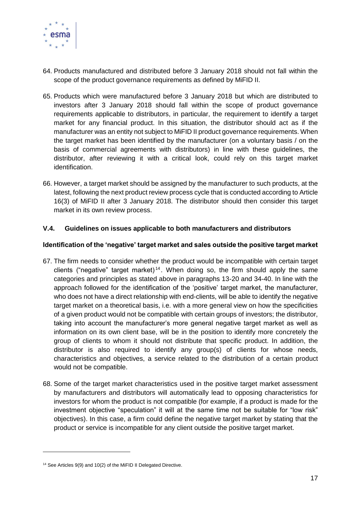

- 64. Products manufactured and distributed before 3 January 2018 should not fall within the scope of the product governance requirements as defined by MiFID II.
- 65. Products which were manufactured before 3 January 2018 but which are distributed to investors after 3 January 2018 should fall within the scope of product governance requirements applicable to distributors, in particular, the requirement to identify a target market for any financial product. In this situation, the distributor should act as if the manufacturer was an entity not subject to MiFID II product governance requirements. When the target market has been identified by the manufacturer (on a voluntary basis / on the basis of commercial agreements with distributors) in line with these guidelines, the distributor, after reviewing it with a critical look, could rely on this target market identification.
- 66. However, a target market should be assigned by the manufacturer to such products, at the latest, following the next product review process cycle that is conducted according to Article 16(3) of MiFID II after 3 January 2018. The distributor should then consider this target market in its own review process.

#### <span id="page-16-0"></span>**V.4. Guidelines on issues applicable to both manufacturers and distributors**

#### **Identification of the 'negative' target market and sales outside the positive target market**

- 67. The firm needs to consider whether the product would be incompatible with certain target clients ("negative" target market)<sup>14</sup>. When doing so, the firm should apply the same categories and principles as stated above in paragraphs 13-20 and 34-40. In line with the approach followed for the identification of the 'positive' target market, the manufacturer, who does not have a direct relationship with end-clients, will be able to identify the negative target market on a theoretical basis, i.e. with a more general view on how the specificities of a given product would not be compatible with certain groups of investors; the distributor, taking into account the manufacturer's more general negative target market as well as information on its own client base, will be in the position to identify more concretely the group of clients to whom it should not distribute that specific product. In addition, the distributor is also required to identify any group(s) of clients for whose needs, characteristics and objectives, a service related to the distribution of a certain product would not be compatible.
- 68. Some of the target market characteristics used in the positive target market assessment by manufacturers and distributors will automatically lead to opposing characteristics for investors for whom the product is not compatible (for example, if a product is made for the investment objective "speculation" it will at the same time not be suitable for "low risk" objectives). In this case, a firm could define the negative target market by stating that the product or service is incompatible for any client outside the positive target market.

<sup>&</sup>lt;sup>14</sup> See Articles 9(9) and 10(2) of the MiFID II Delegated Directive.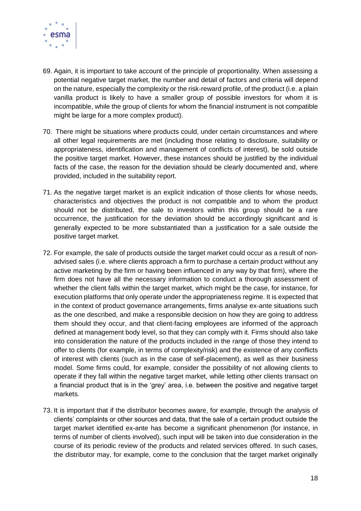

- 69. Again, it is important to take account of the principle of proportionality. When assessing a potential negative target market, the number and detail of factors and criteria will depend on the nature, especially the complexity or the risk-reward profile, of the product (i.e. a plain vanilla product is likely to have a smaller group of possible investors for whom it is incompatible, while the group of clients for whom the financial instrument is not compatible might be large for a more complex product).
- 70. There might be situations where products could, under certain circumstances and where all other legal requirements are met (including those relating to disclosure, suitability or appropriateness, identification and management of conflicts of interest), be sold outside the positive target market. However, these instances should be justified by the individual facts of the case, the reason for the deviation should be clearly documented and, where provided, included in the suitability report.
- 71. As the negative target market is an explicit indication of those clients for whose needs, characteristics and objectives the product is not compatible and to whom the product should not be distributed, the sale to investors within this group should be a rare occurrence, the justification for the deviation should be accordingly significant and is generally expected to be more substantiated than a justification for a sale outside the positive target market.
- 72. For example, the sale of products outside the target market could occur as a result of nonadvised sales (i.e. where clients approach a firm to purchase a certain product without any active marketing by the firm or having been influenced in any way by that firm), where the firm does not have all the necessary information to conduct a thorough assessment of whether the client falls within the target market, which might be the case, for instance, for execution platforms that only operate under the appropriateness regime. It is expected that in the context of product governance arrangements, firms analyse ex-ante situations such as the one described, and make a responsible decision on how they are going to address them should they occur, and that client-facing employees are informed of the approach defined at management body level, so that they can comply with it. Firms should also take into consideration the nature of the products included in the range of those they intend to offer to clients (for example, in terms of complexity/risk) and the existence of any conflicts of interest with clients (such as in the case of self-placement), as well as their business model. Some firms could, for example, consider the possibility of not allowing clients to operate if they fall within the negative target market, while letting other clients transact on a financial product that is in the 'grey' area, i.e. between the positive and negative target markets.
- 73. It is important that if the distributor becomes aware, for example, through the analysis of clients' complaints or other sources and data, that the sale of a certain product outside the target market identified ex-ante has become a significant phenomenon (for instance, in terms of number of clients involved), such input will be taken into due consideration in the course of its periodic review of the products and related services offered. In such cases, the distributor may, for example, come to the conclusion that the target market originally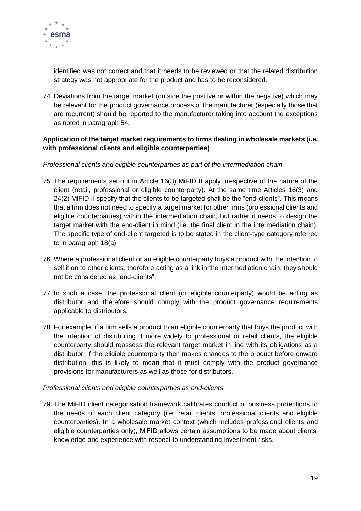

identified was not correct and that it needs to be reviewed or that the related distribution strategy was not appropriate for the product and has to be reconsidered.

74. Deviations from the target market (outside the positive or within the negative) which may be relevant for the product governance process of the manufacturer (especially those that are recurrent) should be reported to the manufacturer taking into account the exceptions as noted in paragraph 54.

# **Application of the target market requirements to firms dealing in wholesale markets (i.e. with professional clients and eligible counterparties)**

#### *Professional clients and eligible counterparties as part of the intermediation chain*

- 75. The requirements set out in Article 16(3) MiFID II apply irrespective of the nature of the client (retail, professional or eligible counterparty). At the same time Articles 16(3) and 24(2) MiFID II specify that the clients to be targeted shall be the "end-clients". This means that a firm does not need to specify a target market for other firms (professional clients and eligible counterparties) within the intermediation chain, but rather it needs to design the target market with the end-client in mind (i.e. the final client in the intermediation chain). The specific type of end-client targeted is to be stated in the client-type category referred to in paragraph 18(a).
- 76. Where a professional client or an eligible counterparty buys a product with the intention to sell it on to other clients, therefore acting as a link in the intermediation chain, they should not be considered as "end-clients".
- 77. In such a case, the professional client (or eligible counterparty) would be acting as distributor and therefore should comply with the product governance requirements applicable to distributors.
- 78. For example, if a firm sells a product to an eligible counterparty that buys the product with the intention of distributing it more widely to professional or retail clients, the eligible counterparty should reassess the relevant target market in line with its obligations as a distributor. If the eligible counterparty then makes changes to the product before onward distribution, this is likely to mean that it must comply with the product governance provisions for manufacturers as well as those for distributors.

#### *Professional clients and eligible counterparties as end-clients*

79. The MiFID client categorisation framework calibrates conduct of business protections to the needs of each client category (i.e. retail clients, professional clients and eligible counterparties). In a wholesale market context (which includes professional clients and eligible counterparties only), MiFID allows certain assumptions to be made about clients' knowledge and experience with respect to understanding investment risks.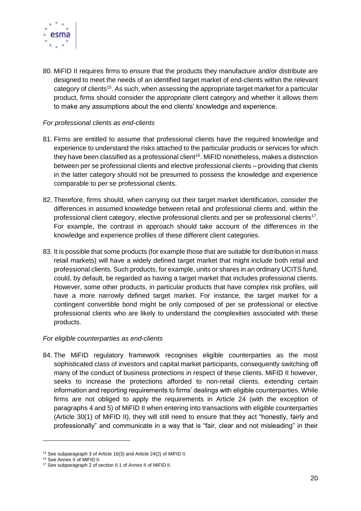

80. MiFID II requires firms to ensure that the products they manufacture and/or distribute are designed to meet the needs of an identified target market of end-clients within the relevant category of clients<sup>15</sup>. As such, when assessing the appropriate target market for a particular product, firms should consider the appropriate client category and whether it allows them to make any assumptions about the end clients' knowledge and experience.

#### *For professional clients as end-clients*

- 81. Firms are entitled to assume that professional clients have the required knowledge and experience to understand the risks attached to the particular products or services for which they have been classified as a professional client<sup>16</sup>. MiFID nonetheless, makes a distinction between per se professional clients and elective professional clients – providing that clients in the latter category should not be presumed to possess the knowledge and experience comparable to per se professional clients.
- 82. Therefore, firms should, when carrying out their target market identification, consider the differences in assumed knowledge between retail and professional clients and, within the professional client category, elective professional clients and per se professional clients<sup>17</sup>. For example, the contrast in approach should take account of the differences in the knowledge and experience profiles of these different client categories.
- 83. It is possible that some products (for example those that are suitable for distribution in mass retail markets) will have a widely defined target market that might include both retail and professional clients. Such products, for example, units or shares in an ordinary UCITS fund, could, by default, be regarded as having a target market that includes professional clients. However, some other products, in particular products that have complex risk profiles, will have a more narrowly defined target market. For instance, the target market for a contingent convertible bond might be only composed of per se professional or elective professional clients who are likely to understand the complexities associated with these products.

#### *For eligible counterparties as end-clients*

84. The MiFID regulatory framework recognises eligible counterparties as the most sophisticated class of investors and capital market participants, consequently switching off many of the conduct of business protections in respect of these clients. MiFID II however, seeks to increase the protections afforded to non-retail clients, extending certain information and reporting requirements to firms' dealings with eligible counterparties. While firms are not obliged to apply the requirements in Article 24 (with the exception of paragraphs 4 and 5) of MiFID II when entering into transactions with eligible counterparties (Article 30(1) of MiFID II), they will still need to ensure that they act "honestly, fairly and professionally" and communicate in a way that is "fair, clear and not misleading" in their

<sup>15</sup> See subparagraph 3 of Article 16(3) and Article 24(2) of MiFID II.

<sup>16</sup> See Annex II of MiFID II.

<sup>&</sup>lt;sup>17</sup> See subparagraph 2 of section II.1 of Annex II of MiFID II.